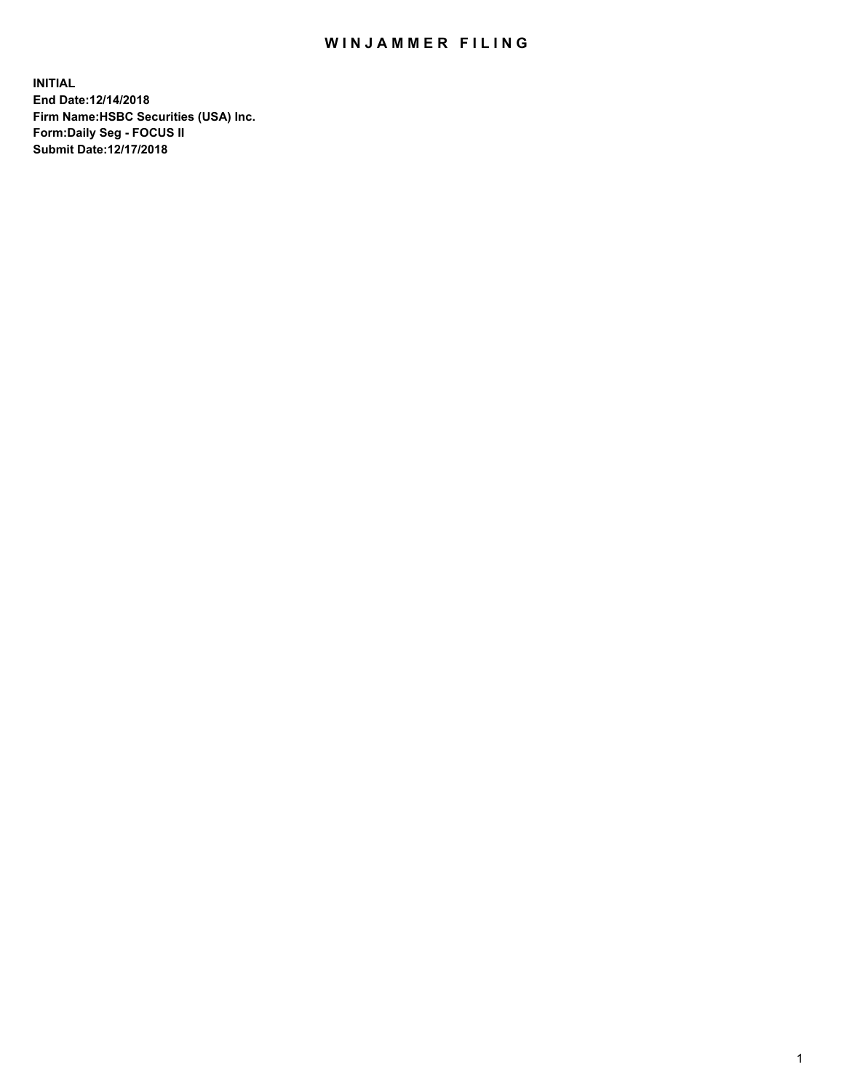## WIN JAMMER FILING

**INITIAL End Date:12/14/2018 Firm Name:HSBC Securities (USA) Inc. Form:Daily Seg - FOCUS II Submit Date:12/17/2018**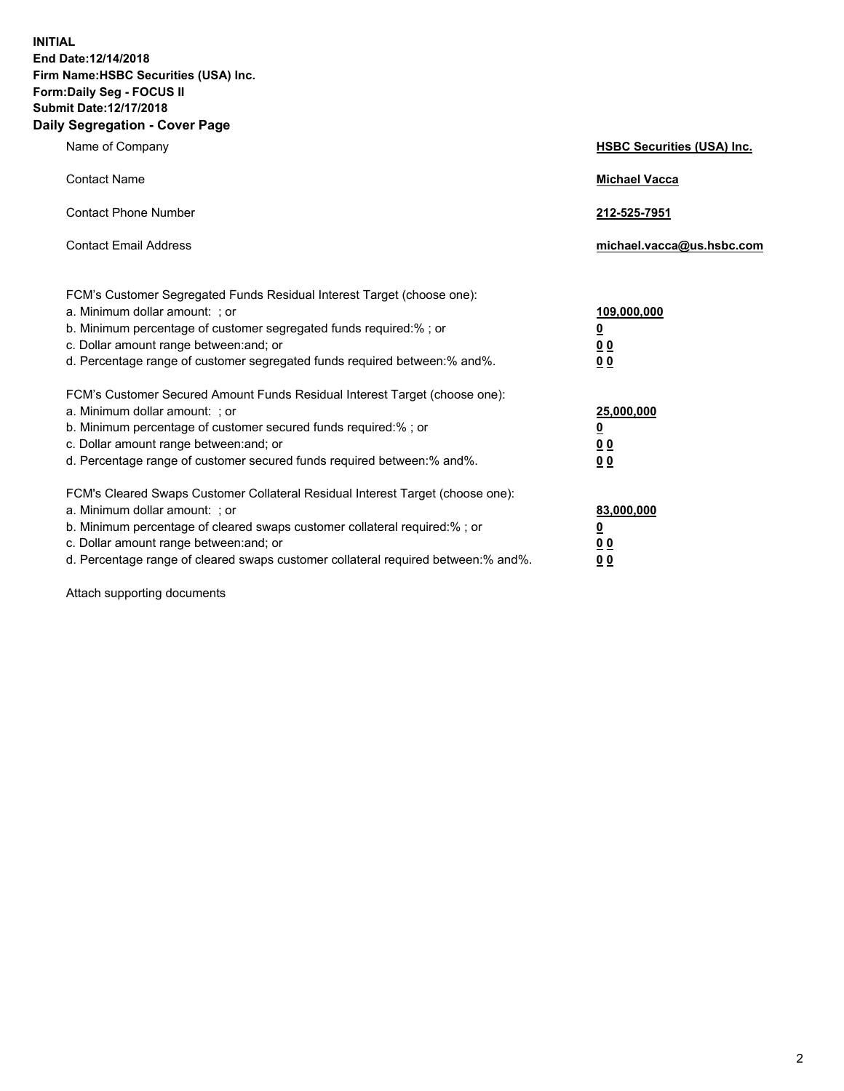**INITIAL End Date:12/14/2018 Firm Name:HSBC Securities (USA) Inc. Form:Daily Seg - FOCUS II Submit Date:12/17/2018 Daily Segregation - Cover Page**

| Name of Company                                                                                                                                                                                                                                                                                                                | <b>HSBC Securities (USA) Inc.</b>                          |
|--------------------------------------------------------------------------------------------------------------------------------------------------------------------------------------------------------------------------------------------------------------------------------------------------------------------------------|------------------------------------------------------------|
| <b>Contact Name</b>                                                                                                                                                                                                                                                                                                            | <b>Michael Vacca</b>                                       |
| <b>Contact Phone Number</b>                                                                                                                                                                                                                                                                                                    | 212-525-7951                                               |
| <b>Contact Email Address</b>                                                                                                                                                                                                                                                                                                   | michael.vacca@us.hsbc.com                                  |
| FCM's Customer Segregated Funds Residual Interest Target (choose one):<br>a. Minimum dollar amount: ; or<br>b. Minimum percentage of customer segregated funds required:% ; or<br>c. Dollar amount range between: and; or<br>d. Percentage range of customer segregated funds required between:% and%.                         | 109,000,000<br>₫<br>0 <sub>0</sub><br>0 <sub>0</sub>       |
| FCM's Customer Secured Amount Funds Residual Interest Target (choose one):<br>a. Minimum dollar amount: ; or<br>b. Minimum percentage of customer secured funds required:% ; or<br>c. Dollar amount range between: and; or<br>d. Percentage range of customer secured funds required between: % and %.                         | 25,000,000<br><u>0</u><br>0 <sub>0</sub><br>0 <sub>0</sub> |
| FCM's Cleared Swaps Customer Collateral Residual Interest Target (choose one):<br>a. Minimum dollar amount: ; or<br>b. Minimum percentage of cleared swaps customer collateral required:% ; or<br>c. Dollar amount range between: and; or<br>d. Percentage range of cleared swaps customer collateral required between:% and%. | 83,000,000<br><u>0</u><br><u>00</u><br>00                  |

Attach supporting documents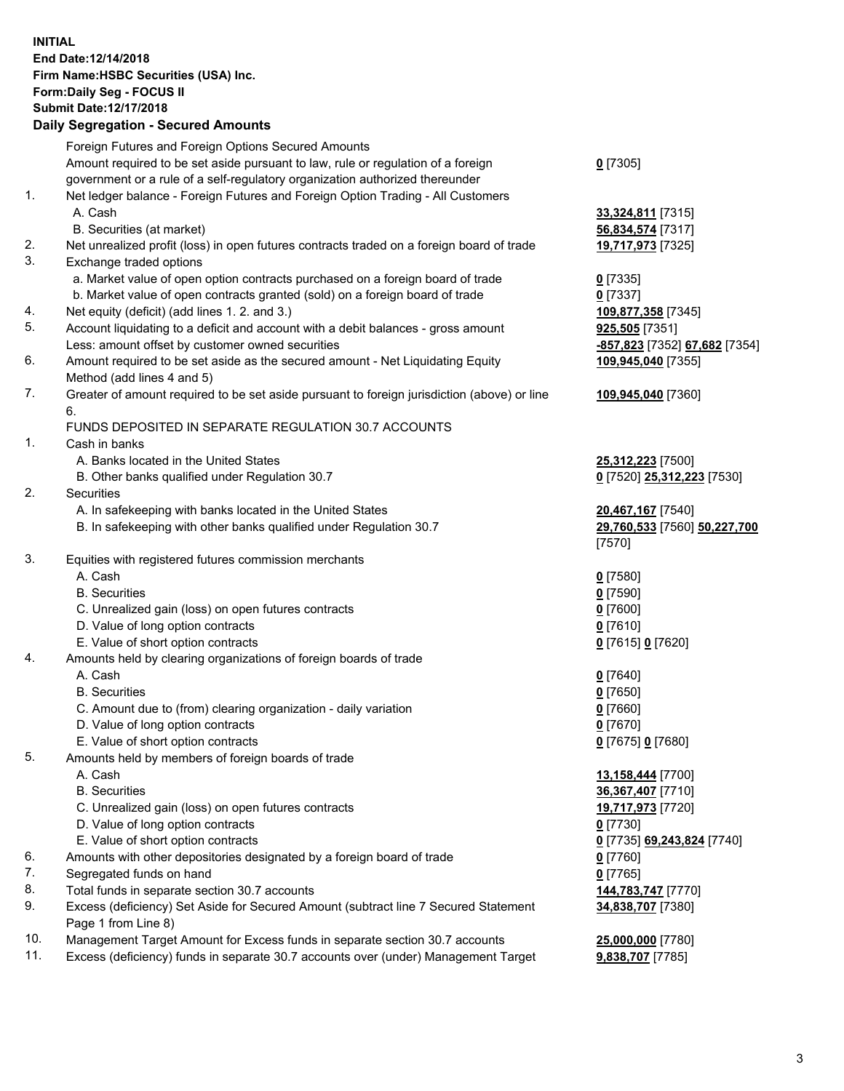**INITIAL End Date:12/14/2018 Firm Name:HSBC Securities (USA) Inc. Form:Daily Seg - FOCUS II Submit Date:12/17/2018 Daily Segregation - Secured Amounts** Foreign Futures and Foreign Options Secured Amounts Amount required to be set aside pursuant to law, rule or regulation of a foreign government or a rule of a self-regulatory organization authorized thereunder 1. Net ledger balance - Foreign Futures and Foreign Option Trading - All Customers A. Cash **33,324,811** [7315] B. Securities (at market) **56,834,574** [7317] 2. Net unrealized profit (loss) in open futures contracts traded on a foreign board of trade **19,717,973** [7325] 3. Exchange traded options a. Market value of open option contracts purchased on a foreign board of trade **0** [7335] b. Market value of open contracts granted (sold) on a foreign board of trade **0** [7337] 4. Net equity (deficit) (add lines 1. 2. and 3.) **109,877,358** [7345] 5. Account liquidating to a deficit and account with a debit balances - gross amount **925,505** [7351] Less: amount offset by customer owned securities **-857,823** [7352] **67,682** [7354] 6. Amount required to be set aside as the secured amount - Net Liquidating Equity Method (add lines 4 and 5) 7. Greater of amount required to be set aside pursuant to foreign jurisdiction (above) or line 6. FUNDS DEPOSITED IN SEPARATE REGULATION 30.7 ACCOUNTS 1. Cash in banks A. Banks located in the United States **25,312,223** [7500] B. Other banks qualified under Regulation 30.7 **0** [7520] **25,312,223** [7530] 2. Securities A. In safekeeping with banks located in the United States **20,467,167** [7540] B. In safekeeping with other banks qualified under Regulation 30.7 **29,760,533** [7560] **50,227,700** 3. Equities with registered futures commission merchants A. Cash **0** [7580] B. Securities **0** [7590]

- C. Unrealized gain (loss) on open futures contracts **0** [7600]
- D. Value of long option contracts **0** [7610]
- E. Value of short option contracts **0** [7615] **0** [7620]
- 4. Amounts held by clearing organizations of foreign boards of trade
	- A. Cash **0** [7640]
	- B. Securities **0** [7650]
	- C. Amount due to (from) clearing organization daily variation **0** [7660]
	- D. Value of long option contracts **0** [7670]
	- E. Value of short option contracts **0** [7675] **0** [7680]
- 5. Amounts held by members of foreign boards of trade
	- A. Cash **13,158,444** [7700]
	- B. Securities **36,367,407** [7710]
	- C. Unrealized gain (loss) on open futures contracts **19,717,973** [7720]
	- D. Value of long option contracts **0** [7730]
	- E. Value of short option contracts **0** [7735] **69,243,824** [7740]
- 6. Amounts with other depositories designated by a foreign board of trade **0** [7760]
- 7. Segregated funds on hand **0** [7765]
- 8. Total funds in separate section 30.7 accounts **144,783,747** [7770]
- 9. Excess (deficiency) Set Aside for Secured Amount (subtract line 7 Secured Statement Page 1 from Line 8)
- 10. Management Target Amount for Excess funds in separate section 30.7 accounts **25,000,000** [7780]
- 11. Excess (deficiency) funds in separate 30.7 accounts over (under) Management Target **9,838,707** [7785]
- 

**34,838,707** [7380]

**0** [7305]

**109,945,040** [7355]

**109,945,040** [7360]

[7570]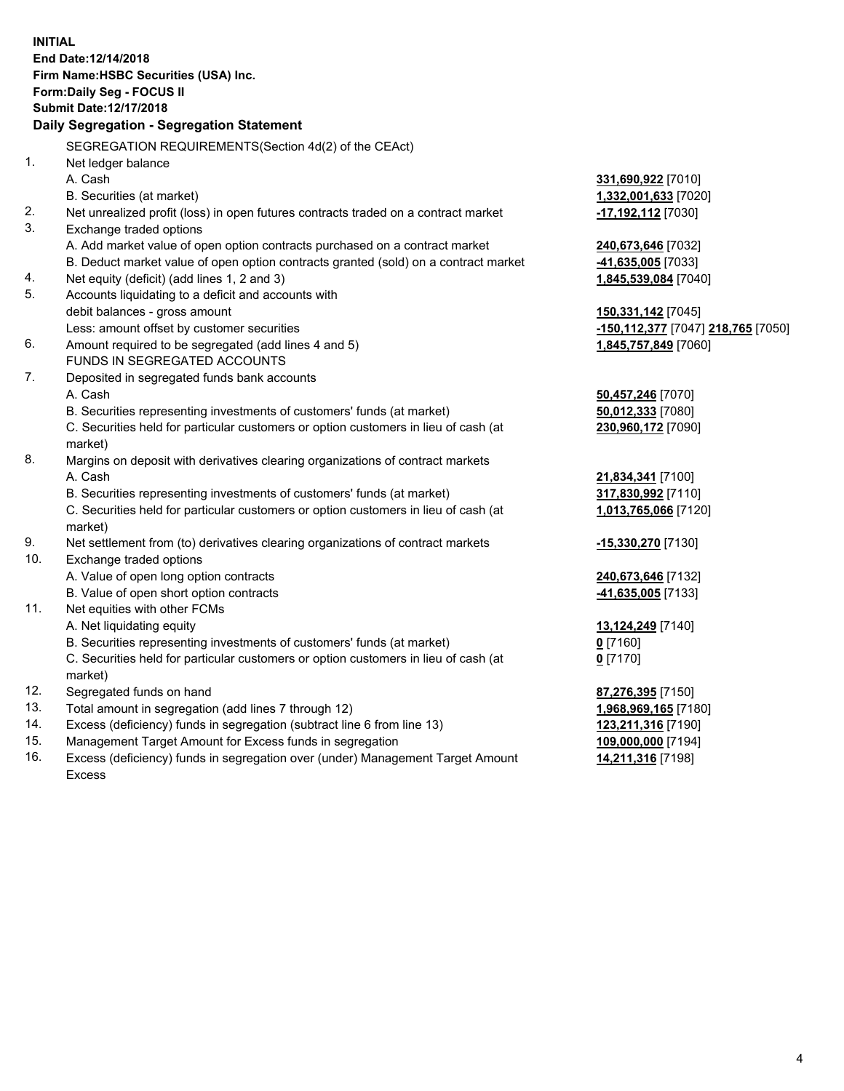**INITIAL End Date:12/14/2018 Firm Name:HSBC Securities (USA) Inc. Form:Daily Seg - FOCUS II Submit Date:12/17/2018 Daily Segregation - Segregation Statement** SEGREGATION REQUIREMENTS(Section 4d(2) of the CEAct) 1. Net ledger balance A. Cash **331,690,922** [7010] B. Securities (at market) **1,332,001,633** [7020] 2. Net unrealized profit (loss) in open futures contracts traded on a contract market **-17,192,112** [7030] 3. Exchange traded options A. Add market value of open option contracts purchased on a contract market **240,673,646** [7032] B. Deduct market value of open option contracts granted (sold) on a contract market **-41,635,005** [7033] 4. Net equity (deficit) (add lines 1, 2 and 3) **1,845,539,084** [7040] 5. Accounts liquidating to a deficit and accounts with debit balances - gross amount **150,331,142** [7045] Less: amount offset by customer securities **-150,112,377** [7047] **218,765** [7050] 6. Amount required to be segregated (add lines 4 and 5) **1,845,757,849** [7060] FUNDS IN SEGREGATED ACCOUNTS 7. Deposited in segregated funds bank accounts A. Cash **50,457,246** [7070] B. Securities representing investments of customers' funds (at market) **50,012,333** [7080] C. Securities held for particular customers or option customers in lieu of cash (at market) **230,960,172** [7090] 8. Margins on deposit with derivatives clearing organizations of contract markets A. Cash **21,834,341** [7100] B. Securities representing investments of customers' funds (at market) **317,830,992** [7110] C. Securities held for particular customers or option customers in lieu of cash (at market) **1,013,765,066** [7120] 9. Net settlement from (to) derivatives clearing organizations of contract markets **-15,330,270** [7130] 10. Exchange traded options A. Value of open long option contracts **240,673,646** [7132] B. Value of open short option contracts **-41,635,005** [7133] 11. Net equities with other FCMs A. Net liquidating equity **13,124,249** [7140] B. Securities representing investments of customers' funds (at market) **0** [7160] C. Securities held for particular customers or option customers in lieu of cash (at market) **0** [7170] 12. Segregated funds on hand **87,276,395** [7150] 13. Total amount in segregation (add lines 7 through 12) **1,968,969,165** [7180] 14. Excess (deficiency) funds in segregation (subtract line 6 from line 13) **123,211,316** [7190] 15. Management Target Amount for Excess funds in segregation **109,000,000** [7194] **14,211,316** [7198]

16. Excess (deficiency) funds in segregation over (under) Management Target Amount Excess